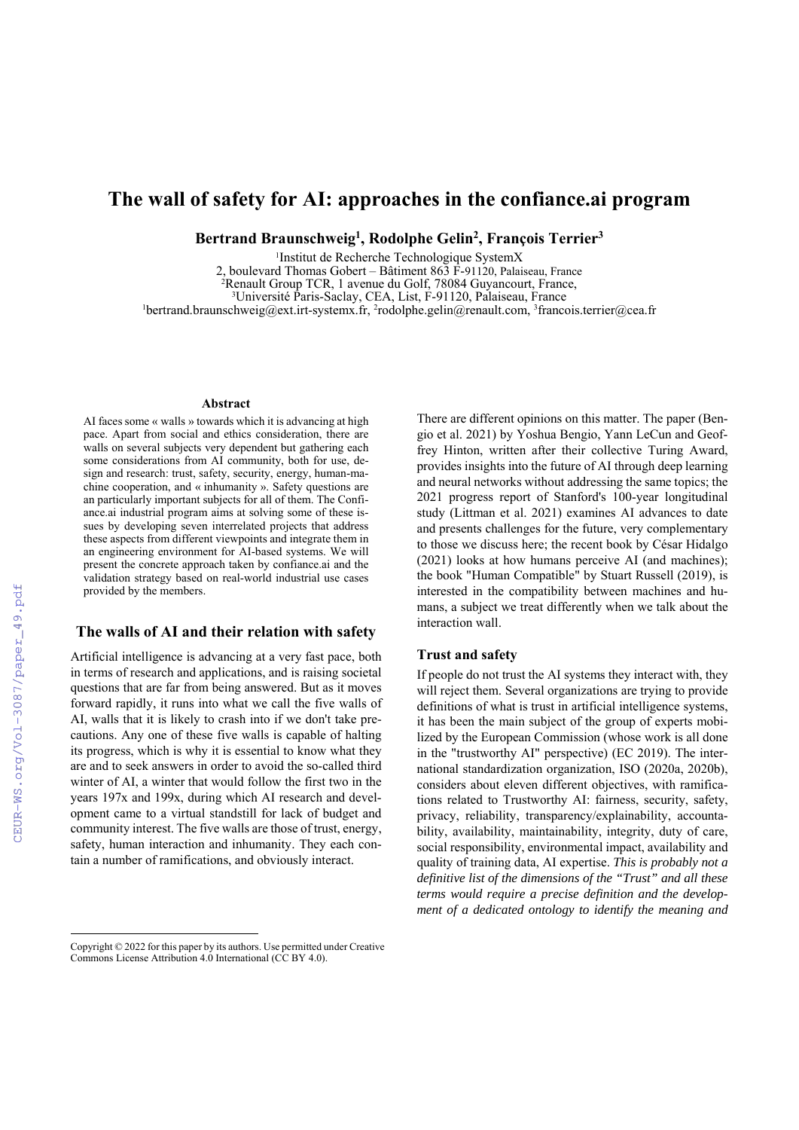# **The wall of safety for AI: approaches in the confiance.ai program**

**Bertrand Braunschweig1 , Rodolphe Gelin2 , François Terrier3**

1Institut de Recherche Technologique SystemX

2, boulevard Thomas Gobert – Bâtiment  $86\overline{3}$  F-91120, Palaiseau, France 2 Renault Group TCR, 1 avenue du Golf, 78084 Guyancourt, France, <sup>3</sup>Université Paris-Saclay, CEA, List, F-91120, Palaiseau, France<br><sup>1</sup>bertrand braunschweig@ext.irt-systemy.fr. <sup>2</sup>rodolnhe.gelin@renault.com. <sup>3</sup>france bertrand.braunschweig@ext.irt-systemx.fr, 2 rodolphe.gelin@renault.com, 3 francois.terrier@cea.fr

#### **Abstract**

AI faces some « walls » towards which it is advancing at high pace. Apart from social and ethics consideration, there are walls on several subjects very dependent but gathering each some considerations from AI community, both for use, design and research: trust, safety, security, energy, human-machine cooperation, and « inhumanity ». Safety questions are an particularly important subjects for all of them. The Confiance.ai industrial program aims at solving some of these issues by developing seven interrelated projects that address these aspects from different viewpoints and integrate them in an engineering environment for AI-based systems. We will present the concrete approach taken by confiance.ai and the validation strategy based on real-world industrial use cases provided by the members.

## **The walls of AI and their relation with safety**

Artificial intelligence is advancing at a very fast pace, both in terms of research and applications, and is raising societal questions that are far from being answered. But as it moves forward rapidly, it runs into what we call the five walls of AI, walls that it is likely to crash into if we don't take precautions. Any one of these five walls is capable of halting its progress, which is why it is essential to know what they are and to seek answers in order to avoid the so-called third winter of AI, a winter that would follow the first two in the years 197x and 199x, during which AI research and development came to a virtual standstill for lack of budget and community interest. The five walls are those of trust, energy, safety, human interaction and inhumanity. They each contain a number of ramifications, and obviously interact.

There are different opinions on this matter. The paper (Bengio et al. 2021) by Yoshua Bengio, Yann LeCun and Geoffrey Hinton, written after their collective Turing Award, provides insights into the future of AI through deep learning and neural networks without addressing the same topics; the 2021 progress report of Stanford's 100-year longitudinal study (Littman et al. 2021) examines AI advances to date and presents challenges for the future, very complementary to those we discuss here; the recent book by César Hidalgo (2021) looks at how humans perceive AI (and machines); the book "Human Compatible" by Stuart Russell (2019), is interested in the compatibility between machines and humans, a subject we treat differently when we talk about the interaction wall.

#### **Trust and safety**

If people do not trust the AI systems they interact with, they will reject them. Several organizations are trying to provide definitions of what is trust in artificial intelligence systems, it has been the main subject of the group of experts mobilized by the European Commission (whose work is all done in the "trustworthy AI" perspective) (EC 2019). The international standardization organization, ISO (2020a, 2020b), considers about eleven different objectives, with ramifications related to Trustworthy AI: fairness, security, safety, privacy, reliability, transparency/explainability, accountability, availability, maintainability, integrity, duty of care, social responsibility, environmental impact, availability and quality of training data, AI expertise. *This is probably not a definitive list of the dimensions of the "Trust" and all these terms would require a precise definition and the development of a dedicated ontology to identify the meaning and* 

 $\overline{a}$ 

Copyright © 2022 for this paper by its authors. Use permitted under Creative Commons License Attribution 4.0 International (CC BY 4.0).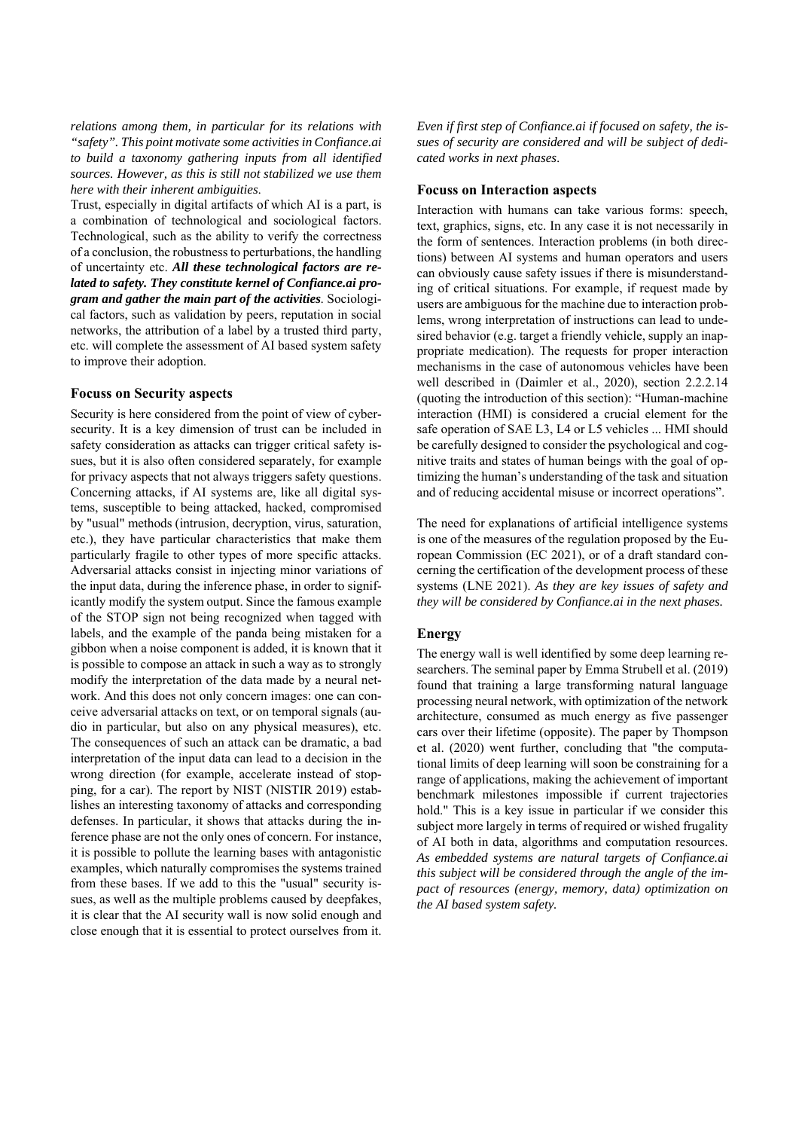*relations among them, in particular for its relations with "safety". This point motivate some activities in Confiance.ai to build a taxonomy gathering inputs from all identified sources. However, as this is still not stabilized we use them here with their inherent ambiguities*.

Trust, especially in digital artifacts of which AI is a part, is a combination of technological and sociological factors. Technological, such as the ability to verify the correctness of a conclusion, the robustness to perturbations, the handling of uncertainty etc. *All these technological factors are related to safety. They constitute kernel of Confiance.ai program and gather the main part of the activities*. Sociological factors, such as validation by peers, reputation in social networks, the attribution of a label by a trusted third party, etc. will complete the assessment of AI based system safety to improve their adoption.

#### **Focuss on Security aspects**

Security is here considered from the point of view of cybersecurity. It is a key dimension of trust can be included in safety consideration as attacks can trigger critical safety issues, but it is also often considered separately, for example for privacy aspects that not always triggers safety questions. Concerning attacks, if AI systems are, like all digital systems, susceptible to being attacked, hacked, compromised by "usual" methods (intrusion, decryption, virus, saturation, etc.), they have particular characteristics that make them particularly fragile to other types of more specific attacks. Adversarial attacks consist in injecting minor variations of the input data, during the inference phase, in order to significantly modify the system output. Since the famous example of the STOP sign not being recognized when tagged with labels, and the example of the panda being mistaken for a gibbon when a noise component is added, it is known that it is possible to compose an attack in such a way as to strongly modify the interpretation of the data made by a neural network. And this does not only concern images: one can conceive adversarial attacks on text, or on temporal signals (audio in particular, but also on any physical measures), etc. The consequences of such an attack can be dramatic, a bad interpretation of the input data can lead to a decision in the wrong direction (for example, accelerate instead of stopping, for a car). The report by NIST (NISTIR 2019) establishes an interesting taxonomy of attacks and corresponding defenses. In particular, it shows that attacks during the inference phase are not the only ones of concern. For instance, it is possible to pollute the learning bases with antagonistic examples, which naturally compromises the systems trained from these bases. If we add to this the "usual" security issues, as well as the multiple problems caused by deepfakes, it is clear that the AI security wall is now solid enough and close enough that it is essential to protect ourselves from it. *Even if first step of Confiance.ai if focused on safety, the issues of security are considered and will be subject of dedicated works in next phases*.

#### **Focuss on Interaction aspects**

Interaction with humans can take various forms: speech, text, graphics, signs, etc. In any case it is not necessarily in the form of sentences. Interaction problems (in both directions) between AI systems and human operators and users can obviously cause safety issues if there is misunderstanding of critical situations. For example, if request made by users are ambiguous for the machine due to interaction problems, wrong interpretation of instructions can lead to undesired behavior (e.g. target a friendly vehicle, supply an inappropriate medication). The requests for proper interaction mechanisms in the case of autonomous vehicles have been well described in (Daimler et al., 2020), section 2.2.2.14 (quoting the introduction of this section): "Human-machine interaction (HMI) is considered a crucial element for the safe operation of SAE L3, L4 or L5 vehicles ... HMI should be carefully designed to consider the psychological and cognitive traits and states of human beings with the goal of optimizing the human's understanding of the task and situation and of reducing accidental misuse or incorrect operations".

The need for explanations of artificial intelligence systems is one of the measures of the regulation proposed by the European Commission (EC 2021), or of a draft standard concerning the certification of the development process of these systems (LNE 2021). *As they are key issues of safety and they will be considered by Confiance.ai in the next phases.*

#### **Energy**

The energy wall is well identified by some deep learning researchers. The seminal paper by Emma Strubell et al. (2019) found that training a large transforming natural language processing neural network, with optimization of the network architecture, consumed as much energy as five passenger cars over their lifetime (opposite). The paper by Thompson et al. (2020) went further, concluding that "the computational limits of deep learning will soon be constraining for a range of applications, making the achievement of important benchmark milestones impossible if current trajectories hold." This is a key issue in particular if we consider this subject more largely in terms of required or wished frugality of AI both in data, algorithms and computation resources. *As embedded systems are natural targets of Confiance.ai this subject will be considered through the angle of the impact of resources (energy, memory, data) optimization on the AI based system safety.*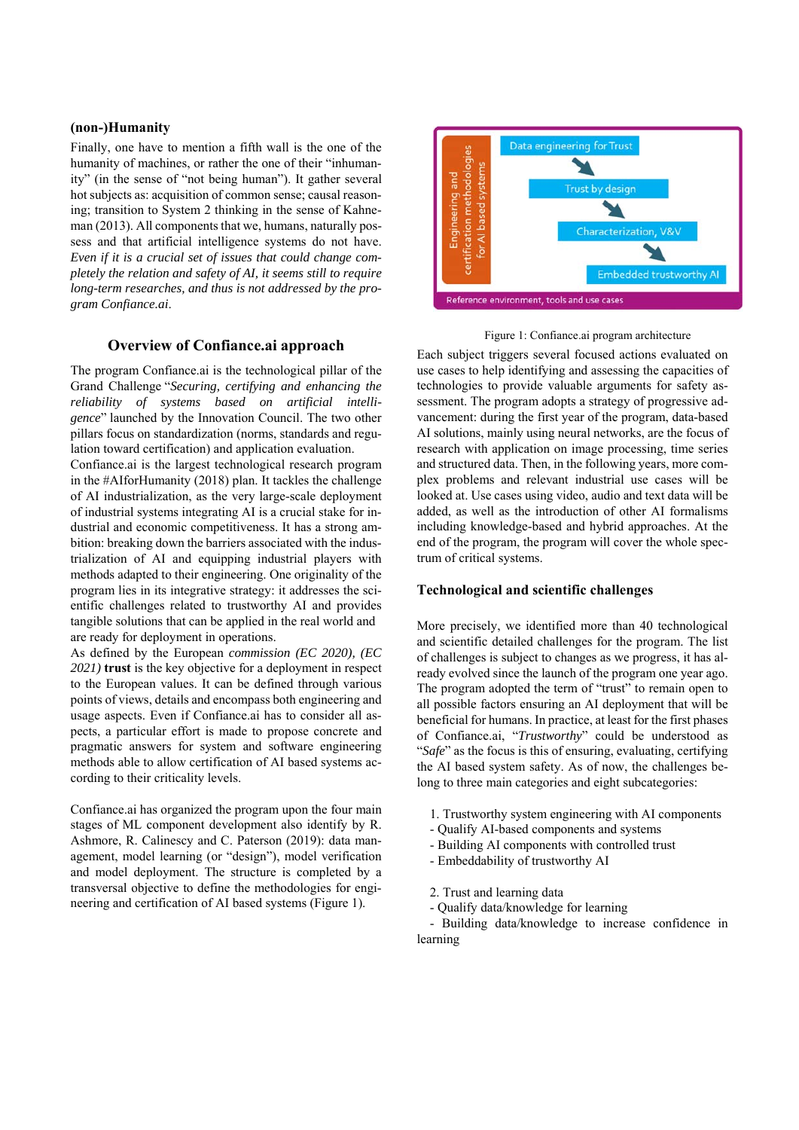### **(non-)Humanity**

Finally, one have to mention a fifth wall is the one of the humanity of machines, or rather the one of their "inhumanity" (in the sense of "not being human"). It gather several hot subjects as: acquisition of common sense; causal reasoning; transition to System 2 thinking in the sense of Kahneman (2013). All components that we, humans, naturally possess and that artificial intelligence systems do not have. *Even if it is a crucial set of issues that could change completely the relation and safety of AI, it seems still to require long-term researches, and thus is not addressed by the program Confiance.ai*.

## **Overview of Confiance.ai approach**

The program Confiance.ai is the technological pillar of the Grand Challenge "*Securing, certifying and enhancing the reliability of systems based on artificial intelligence*" launched by the Innovation Council. The two other pillars focus on standardization (norms, standards and regulation toward certification) and application evaluation.

Confiance.ai is the largest technological research program in the #AIforHumanity (2018) plan. It tackles the challenge of AI industrialization, as the very large-scale deployment of industrial systems integrating AI is a crucial stake for industrial and economic competitiveness. It has a strong ambition: breaking down the barriers associated with the industrialization of AI and equipping industrial players with methods adapted to their engineering. One originality of the program lies in its integrative strategy: it addresses the scientific challenges related to trustworthy AI and provides tangible solutions that can be applied in the real world and are ready for deployment in operations.

As defined by the European *commission (EC 2020), (EC 2021)* **trust** is the key objective for a deployment in respect to the European values. It can be defined through various points of views, details and encompass both engineering and usage aspects. Even if Confiance.ai has to consider all aspects, a particular effort is made to propose concrete and pragmatic answers for system and software engineering methods able to allow certification of AI based systems according to their criticality levels.

Confiance.ai has organized the program upon the four main stages of ML component development also identify by R. Ashmore, R. Calinescy and C. Paterson (2019): data management, model learning (or "design"), model verification and model deployment. The structure is completed by a transversal objective to define the methodologies for engineering and certification of AI based systems (Figure 1).



Figure 1: Confiance.ai program architecture

Each subject triggers several focused actions evaluated on use cases to help identifying and assessing the capacities of technologies to provide valuable arguments for safety assessment. The program adopts a strategy of progressive advancement: during the first year of the program, data-based AI solutions, mainly using neural networks, are the focus of research with application on image processing, time series and structured data. Then, in the following years, more complex problems and relevant industrial use cases will be looked at. Use cases using video, audio and text data will be added, as well as the introduction of other AI formalisms including knowledge-based and hybrid approaches. At the end of the program, the program will cover the whole spectrum of critical systems.

#### **Technological and scientific challenges**

More precisely, we identified more than 40 technological and scientific detailed challenges for the program. The list of challenges is subject to changes as we progress, it has already evolved since the launch of the program one year ago. The program adopted the term of "trust" to remain open to all possible factors ensuring an AI deployment that will be beneficial for humans. In practice, at least for the first phases of Confiance.ai, "*Trustworthy*" could be understood as "*Safe*" as the focus is this of ensuring, evaluating, certifying the AI based system safety. As of now, the challenges belong to three main categories and eight subcategories:

- 1. Trustworthy system engineering with AI components
- Qualify AI-based components and systems
- Building AI components with controlled trust
- Embeddability of trustworthy AI
- 2. Trust and learning data
- Qualify data/knowledge for learning

 - Building data/knowledge to increase confidence in learning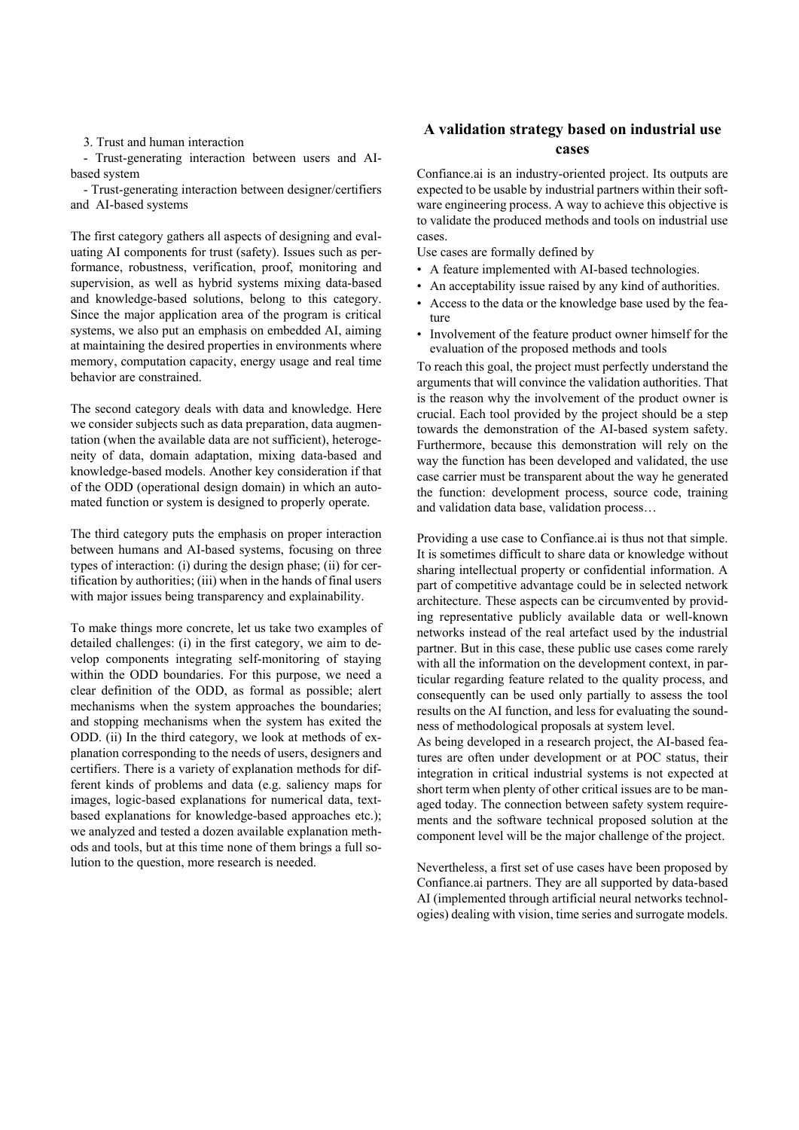3. Trust and human interaction

 - Trust-generating interaction between users and AIbased system

 - Trust-generating interaction between designer/certifiers and AI-based systems

The first category gathers all aspects of designing and evaluating AI components for trust (safety). Issues such as performance, robustness, verification, proof, monitoring and supervision, as well as hybrid systems mixing data-based and knowledge-based solutions, belong to this category. Since the major application area of the program is critical systems, we also put an emphasis on embedded AI, aiming at maintaining the desired properties in environments where memory, computation capacity, energy usage and real time behavior are constrained.

The second category deals with data and knowledge. Here we consider subjects such as data preparation, data augmentation (when the available data are not sufficient), heterogeneity of data, domain adaptation, mixing data-based and knowledge-based models. Another key consideration if that of the ODD (operational design domain) in which an automated function or system is designed to properly operate.

The third category puts the emphasis on proper interaction between humans and AI-based systems, focusing on three types of interaction: (i) during the design phase; (ii) for certification by authorities; (iii) when in the hands of final users with major issues being transparency and explainability.

To make things more concrete, let us take two examples of detailed challenges: (i) in the first category, we aim to develop components integrating self-monitoring of staying within the ODD boundaries. For this purpose, we need a clear definition of the ODD, as formal as possible; alert mechanisms when the system approaches the boundaries; and stopping mechanisms when the system has exited the ODD. (ii) In the third category, we look at methods of explanation corresponding to the needs of users, designers and certifiers. There is a variety of explanation methods for different kinds of problems and data (e.g. saliency maps for images, logic-based explanations for numerical data, textbased explanations for knowledge-based approaches etc.); we analyzed and tested a dozen available explanation methods and tools, but at this time none of them brings a full solution to the question, more research is needed.

# **A validation strategy based on industrial use cases**

Confiance.ai is an industry-oriented project. Its outputs are expected to be usable by industrial partners within their software engineering process. A way to achieve this objective is to validate the produced methods and tools on industrial use cases.

Use cases are formally defined by

- A feature implemented with AI-based technologies.
- An acceptability issue raised by any kind of authorities.
- Access to the data or the knowledge base used by the feature
- Involvement of the feature product owner himself for the evaluation of the proposed methods and tools

To reach this goal, the project must perfectly understand the arguments that will convince the validation authorities. That is the reason why the involvement of the product owner is crucial. Each tool provided by the project should be a step towards the demonstration of the AI-based system safety. Furthermore, because this demonstration will rely on the way the function has been developed and validated, the use case carrier must be transparent about the way he generated the function: development process, source code, training and validation data base, validation process…

Providing a use case to Confiance.ai is thus not that simple. It is sometimes difficult to share data or knowledge without sharing intellectual property or confidential information. A part of competitive advantage could be in selected network architecture. These aspects can be circumvented by providing representative publicly available data or well-known networks instead of the real artefact used by the industrial partner. But in this case, these public use cases come rarely with all the information on the development context, in particular regarding feature related to the quality process, and consequently can be used only partially to assess the tool results on the AI function, and less for evaluating the soundness of methodological proposals at system level.

As being developed in a research project, the AI-based features are often under development or at POC status, their integration in critical industrial systems is not expected at short term when plenty of other critical issues are to be managed today. The connection between safety system requirements and the software technical proposed solution at the component level will be the major challenge of the project.

Nevertheless, a first set of use cases have been proposed by Confiance.ai partners. They are all supported by data-based AI (implemented through artificial neural networks technologies) dealing with vision, time series and surrogate models.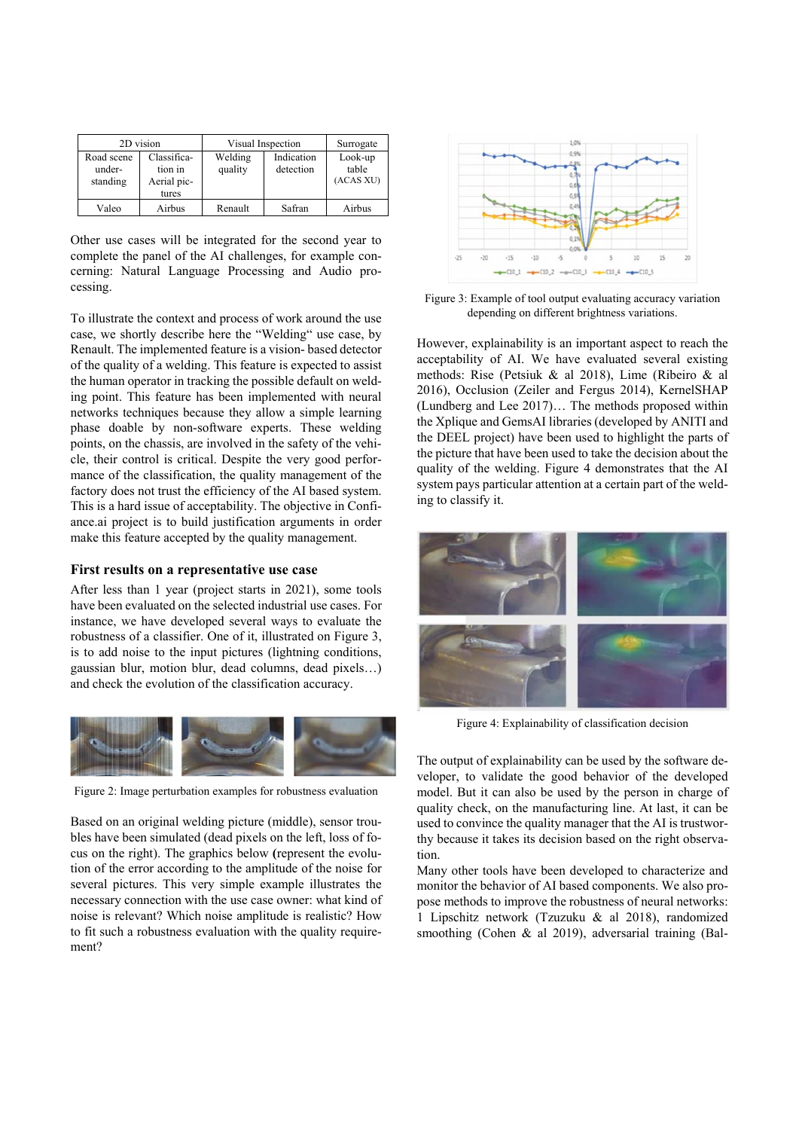| 2D vision                        |                                                | Visual Inspection  |                         | Surrogate                     |
|----------------------------------|------------------------------------------------|--------------------|-------------------------|-------------------------------|
| Road scene<br>under-<br>standing | Classifica-<br>tion in<br>Aerial pic-<br>tures | Welding<br>quality | Indication<br>detection | Look-up<br>table<br>(ACAS XU) |
| Valeo                            | Airbus                                         | Renault            | Safran                  | Airbus                        |

Other use cases will be integrated for the second year to complete the panel of the AI challenges, for example concerning: Natural Language Processing and Audio processing.

To illustrate the context and process of work around the use case, we shortly describe here the "Welding" use case, by Renault. The implemented feature is a vision- based detector of the quality of a welding. This feature is expected to assist the human operator in tracking the possible default on welding point. This feature has been implemented with neural networks techniques because they allow a simple learning phase doable by non-software experts. These welding points, on the chassis, are involved in the safety of the vehicle, their control is critical. Despite the very good performance of the classification, the quality management of the factory does not trust the efficiency of the AI based system. This is a hard issue of acceptability. The objective in Confiance.ai project is to build justification arguments in order make this feature accepted by the quality management.

## **First results on a representative use case**

After less than 1 year (project starts in 2021), some tools have been evaluated on the selected industrial use cases. For instance, we have developed several ways to evaluate the robustness of a classifier. One of it, illustrated on Figure 3, is to add noise to the input pictures (lightning conditions, gaussian blur, motion blur, dead columns, dead pixels…) and check the evolution of the classification accuracy.



Figure 2: Image perturbation examples for robustness evaluation

Based on an original welding picture (middle), sensor troubles have been simulated (dead pixels on the left, loss of focus on the right). The graphics below **(**represent the evolution of the error according to the amplitude of the noise for several pictures. This very simple example illustrates the necessary connection with the use case owner: what kind of noise is relevant? Which noise amplitude is realistic? How to fit such a robustness evaluation with the quality requirement?



Figure 3: Example of tool output evaluating accuracy variation depending on different brightness variations.

However, explainability is an important aspect to reach the acceptability of AI. We have evaluated several existing methods: Rise (Petsiuk & al 2018), Lime (Ribeiro & al 2016), Occlusion (Zeiler and Fergus 2014), KernelSHAP (Lundberg and Lee 2017)… The methods proposed within the Xplique and GemsAI libraries (developed by ANITI and the DEEL project) have been used to highlight the parts of the picture that have been used to take the decision about the quality of the welding. Figure 4 demonstrates that the AI system pays particular attention at a certain part of the welding to classify it.



Figure 4: Explainability of classification decision

The output of explainability can be used by the software developer, to validate the good behavior of the developed model. But it can also be used by the person in charge of quality check, on the manufacturing line. At last, it can be used to convince the quality manager that the AI is trustworthy because it takes its decision based on the right observation.

Many other tools have been developed to characterize and monitor the behavior of AI based components. We also propose methods to improve the robustness of neural networks: 1 Lipschitz network (Tzuzuku & al 2018), randomized smoothing (Cohen & al 2019), adversarial training (Bal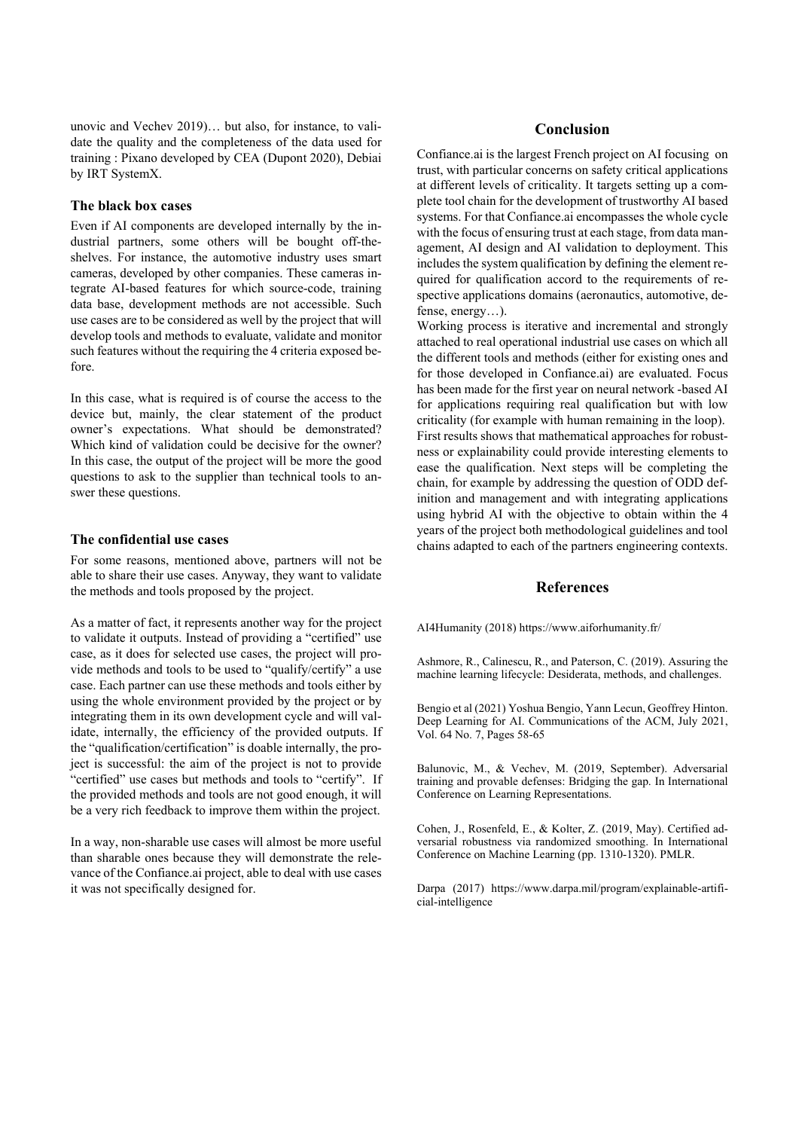unovic and Vechev 2019)… but also, for instance, to validate the quality and the completeness of the data used for training : Pixano developed by CEA (Dupont 2020), Debiai by IRT SystemX.

#### **The black box cases**

Even if AI components are developed internally by the industrial partners, some others will be bought off-theshelves. For instance, the automotive industry uses smart cameras, developed by other companies. These cameras integrate AI-based features for which source-code, training data base, development methods are not accessible. Such use cases are to be considered as well by the project that will develop tools and methods to evaluate, validate and monitor such features without the requiring the 4 criteria exposed before.

In this case, what is required is of course the access to the device but, mainly, the clear statement of the product owner's expectations. What should be demonstrated? Which kind of validation could be decisive for the owner? In this case, the output of the project will be more the good questions to ask to the supplier than technical tools to answer these questions.

## **The confidential use cases**

For some reasons, mentioned above, partners will not be able to share their use cases. Anyway, they want to validate the methods and tools proposed by the project.

As a matter of fact, it represents another way for the project to validate it outputs. Instead of providing a "certified" use case, as it does for selected use cases, the project will provide methods and tools to be used to "qualify/certify" a use case. Each partner can use these methods and tools either by using the whole environment provided by the project or by integrating them in its own development cycle and will validate, internally, the efficiency of the provided outputs. If the "qualification/certification" is doable internally, the project is successful: the aim of the project is not to provide "certified" use cases but methods and tools to "certify". If the provided methods and tools are not good enough, it will be a very rich feedback to improve them within the project.

In a way, non-sharable use cases will almost be more useful than sharable ones because they will demonstrate the relevance of the Confiance.ai project, able to deal with use cases it was not specifically designed for.

## **Conclusion**

Confiance.ai is the largest French project on AI focusing on trust, with particular concerns on safety critical applications at different levels of criticality. It targets setting up a complete tool chain for the development of trustworthy AI based systems. For that Confiance.ai encompasses the whole cycle with the focus of ensuring trust at each stage, from data management, AI design and AI validation to deployment. This includes the system qualification by defining the element required for qualification accord to the requirements of respective applications domains (aeronautics, automotive, defense, energy…).

Working process is iterative and incremental and strongly attached to real operational industrial use cases on which all the different tools and methods (either for existing ones and for those developed in Confiance.ai) are evaluated. Focus has been made for the first year on neural network -based AI for applications requiring real qualification but with low criticality (for example with human remaining in the loop). First results shows that mathematical approaches for robustness or explainability could provide interesting elements to ease the qualification. Next steps will be completing the chain, for example by addressing the question of ODD definition and management and with integrating applications using hybrid AI with the objective to obtain within the 4 years of the project both methodological guidelines and tool chains adapted to each of the partners engineering contexts.

### **References**

AI4Humanity (2018) https://www.aiforhumanity.fr/

Ashmore, R., Calinescu, R., and Paterson, C. (2019). Assuring the machine learning lifecycle: Desiderata, methods, and challenges.

Bengio et al (2021) Yoshua Bengio, Yann Lecun, Geoffrey Hinton. Deep Learning for AI. Communications of the ACM, July 2021, Vol. 64 No. 7, Pages 58-65

Balunovic, M., & Vechev, M. (2019, September). Adversarial training and provable defenses: Bridging the gap. In International Conference on Learning Representations.

Cohen, J., Rosenfeld, E., & Kolter, Z. (2019, May). Certified adversarial robustness via randomized smoothing. In International Conference on Machine Learning (pp. 1310-1320). PMLR.

Darpa (2017) https://www.darpa.mil/program/explainable-artificial-intelligence